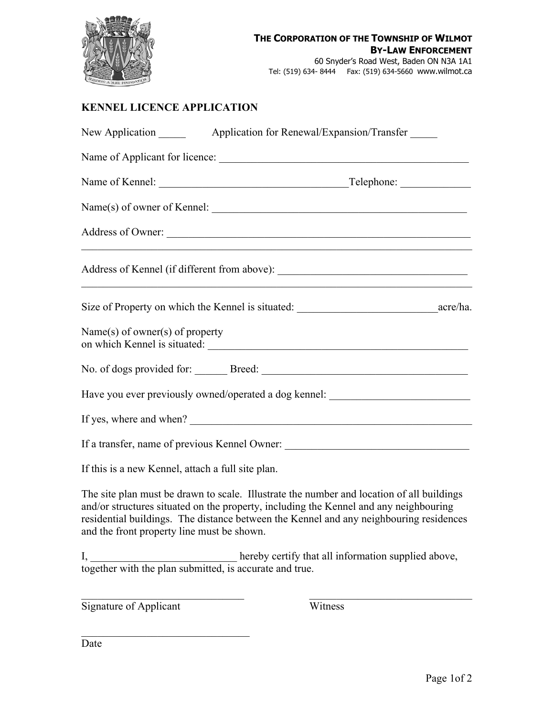

## **KENNEL LICENCE APPLICATION**

| Application for Renewal/Expansion/Transfer<br>New Application |  |                                                                                                                                                                                                                                                                              |
|---------------------------------------------------------------|--|------------------------------------------------------------------------------------------------------------------------------------------------------------------------------------------------------------------------------------------------------------------------------|
|                                                               |  |                                                                                                                                                                                                                                                                              |
|                                                               |  |                                                                                                                                                                                                                                                                              |
|                                                               |  |                                                                                                                                                                                                                                                                              |
|                                                               |  |                                                                                                                                                                                                                                                                              |
|                                                               |  | <u> 1989 - Johann Barn, amerikan ba</u> rnetar (h. 1989)                                                                                                                                                                                                                     |
|                                                               |  |                                                                                                                                                                                                                                                                              |
| Name(s) of owner(s) of property                               |  |                                                                                                                                                                                                                                                                              |
|                                                               |  |                                                                                                                                                                                                                                                                              |
|                                                               |  | Have you ever previously owned/operated a dog kennel: __________________________                                                                                                                                                                                             |
|                                                               |  |                                                                                                                                                                                                                                                                              |
|                                                               |  | If a transfer, name of previous Kennel Owner: __________________________________                                                                                                                                                                                             |
| If this is a new Kennel, attach a full site plan.             |  |                                                                                                                                                                                                                                                                              |
| and the front property line must be shown.                    |  | The site plan must be drawn to scale. Illustrate the number and location of all buildings<br>and/or structures situated on the property, including the Kennel and any neighbouring<br>residential buildings. The distance between the Kennel and any neighbouring residences |

I, \_\_\_\_\_\_\_\_\_\_\_\_\_\_\_\_\_\_\_\_\_\_\_\_\_\_\_\_hereby certify that all information supplied above, together with the plan submitted, is accurate and true.

Signature of Applicant Witness

Date